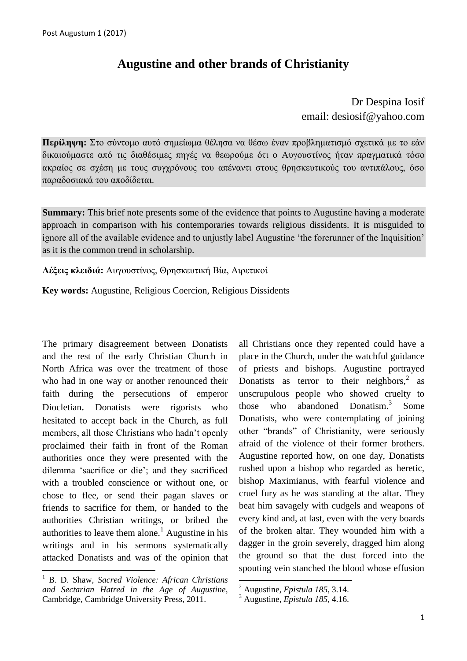## **Augustine and other brands of Christianity**

Dr Despina Iosif email: desiosif@yahoo.com

**Περίληψη:** Στο σύντομο αυτό σημείωμα θέλησα να θέσω έναν προβληματισμό σγετικά με το εάν δικαιούμαστε από τις διαθέσιμες πηγές να θεωρούμε ότι ο Αυγουστίνος ήταν πραγματικά τόσο ακραίος σε σγέση με τους συγγρόνους του απέναντι στους θρησκευτικούς του αντιπάλους, όσο παραδοσιακά του αποδίδεται.

**Summary:** This brief note presents some of the evidence that points to Augustine having a moderate approach in comparison with his contemporaries towards religious dissidents. It is misguided to ignore all of the available evidence and to unjustly label Augustine "the forerunner of the Inquisition" as it is the common trend in scholarship.

Λέξεις κλειδιά: Αυγουστίνος, Θρησκευτική Βία, Αιρετικοί

**Key words:** Augustine, Religious Coercion, Religious Dissidents

The primary disagreement between Donatists and the rest of the early Christian Church in North Africa was over the treatment of those who had in one way or another renounced their faith during the persecutions of emperor Diocletian. Donatists were rigorists who hesitated to accept back in the Church, as full members, all those Christians who hadn"t openly proclaimed their faith in front of the Roman authorities once they were presented with the dilemma "sacrifice or die"; and they sacrificed with a troubled conscience or without one, or chose to flee, or send their pagan slaves or friends to sacrifice for them, or handed to the authorities Christian writings, or bribed the authorities to leave them alone.<sup>1</sup> Augustine in his writings and in his sermons systematically attacked Donatists and was of the opinion that

<sup>1</sup> B. D. Shaw, *Sacred Violence: African Christians and Sectarian Hatred in the Age of Augustine,*  Cambridge, Cambridge University Press, 2011.

1

all Christians once they repented could have a place in the Church, under the watchful guidance of priests and bishops. Augustine portrayed Donatists as terror to their neighbors, $2$  as unscrupulous people who showed cruelty to those who abandoned 3 Some Donatists, who were contemplating of joining other "brands" of Christianity, were seriously afraid of the violence of their former brothers. Augustine reported how, on one day, Donatists rushed upon a bishop who regarded as heretic, bishop Maximianus, with fearful violence and cruel fury as he was standing at the altar. They beat him savagely with cudgels and weapons of every kind and, at last, even with the very boards of the broken altar. They wounded him with a dagger in the groin severely, dragged him along the ground so that the dust forced into the spouting vein stanched the blood whose effusion

**.** 

<sup>2</sup> Augustine, *Epistula 185*, 3.14.

<sup>3</sup> Augustine, *Epistula 185*, 4.16.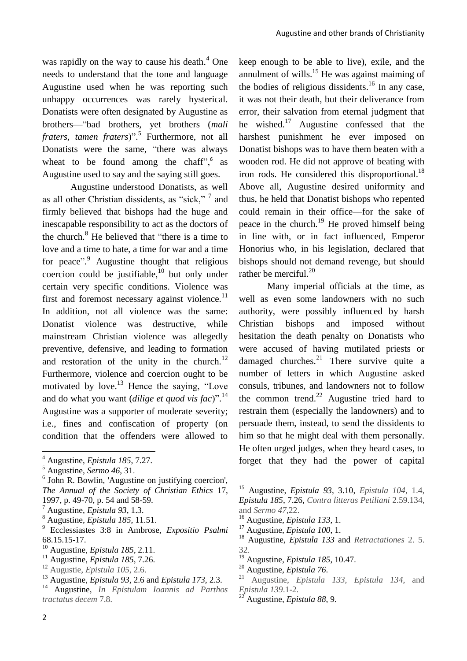was rapidly on the way to cause his death.<sup>4</sup> One needs to understand that the tone and language Augustine used when he was reporting such unhappy occurrences was rarely hysterical. Donatists were often designated by Augustine as brothers—"bad brothers, yet brothers (*mali fraters, tamen fraters*)". 5 Furthermore, not all Donatists were the same, "there was always wheat to be found among the chaff", $6$  as Augustine used to say and the saying still goes.

Augustine understood Donatists, as well as all other Christian dissidents, as "sick," 7 and firmly believed that bishops had the huge and inescapable responsibility to act as the doctors of the church. $8$  He believed that "there is a time to love and a time to hate, a time for war and a time for peace"*.* <sup>9</sup> Augustine thought that religious coercion could be justifiable, $^{10}$  but only under certain very specific conditions. Violence was first and foremost necessary against violence. $^{11}$ In addition, not all violence was the same: Donatist violence was destructive, while mainstream Christian violence was allegedly preventive, defensive, and leading to formation and restoration of the unity in the church. $^{12}$ Furthermore, violence and coercion ought to be motivated by love.<sup>13</sup> Hence the saying, "Love and do what you want (*dilige et quod vis fac*)". 14 Augustine was a supporter of moderate severity; i.e., fines and confiscation of property (on condition that the offenders were allowed to

- 6 John R. Bowlin, 'Augustine on justifying coercion', *The Annual of the Society of Christian Ethics* 17, 1997, p. 49-70, p. 54 and 58-59.
- <sup>7</sup> Augustine, *Epistula 93*, 1.3.
- <sup>8</sup> Augustine, *Epistula 185*, 11.51.
- <sup>9</sup> Ecclessiastes 3:8 in Ambrose, *Expositio Psalmi* 68.15.15-17.
- <sup>10</sup> Augustine, *Epistula 185*, 2.11.
- <sup>11</sup> Augustine, *Epistula 185*, 7.26.
- <sup>12</sup> Augustie, *Epistula 105*, 2.6.

keep enough to be able to live), exile, and the annulment of wills. $^{15}$  He was against maiming of the bodies of religious dissidents.<sup>16</sup> In any case, it was not their death, but their deliverance from error, their salvation from eternal judgment that he wished. $17$  Augustine confessed that the harshest punishment he ever imposed on Donatist bishops was to have them beaten with a wooden rod. He did not approve of beating with iron rods. He considered this disproportional.<sup>18</sup> Above all, Augustine desired uniformity and thus, he held that Donatist bishops who repented could remain in their office—for the sake of peace in the church.<sup>19</sup> He proved himself being in line with, or in fact influenced, Emperor Honorius who, in his legislation, declared that bishops should not demand revenge, but should rather be merciful.<sup>20</sup>

Many imperial officials at the time, as well as even some landowners with no such authority, were possibly influenced by harsh Christian bishops and imposed without hesitation the death penalty on Donatists who were accused of having mutilated priests or damaged churches.<sup>21</sup> There survive quite a number of letters in which Augustine asked consuls, tribunes, and landowners not to follow the common trend. $22$  Augustine tried hard to restrain them (especially the landowners) and to persuade them, instead, to send the dissidents to him so that he might deal with them personally. He often urged judges, when they heard cases, to forget that they had the power of capital

<sup>16</sup> Augustine, *Epistula 133*, 1.

 $\overline{a}$ 

- <sup>17</sup> Augustine, *Epistula 100*, 1.
- <sup>18</sup> Augustine, *Epistula 133* and *Retractationes* 2. 5. 32.
- <sup>19</sup> Augustine, *Epistula 185*, 10.47.

<sup>22</sup> Augustine, *Epistula 88*, 9.

1

<sup>4</sup> Augustine, *Epistula 185*, 7.27.

<sup>5</sup> Augustine, *Sermo 46*, 31.

<sup>13</sup> Augustine, *Epistula 93*, 2.6 and *Epistula 173*, 2.3.

<sup>14</sup> Augustine, *In Epistulam Ioannis ad Parthos tractatus decem* 7.8.

<sup>15</sup> Augustine, *Epistula 93*, 3.10, *Epistula 104*, 1.4, *Epistula 185*, 7.26, *Contra litteras Petiliani* 2.59.134, and *Sermo 47*,22.

<sup>20</sup> Augustine, *Epistula 76*.

<sup>21</sup> Augustine, *Epistula 133*, *Epistula 134*, and *Epistula 139*.1-2.